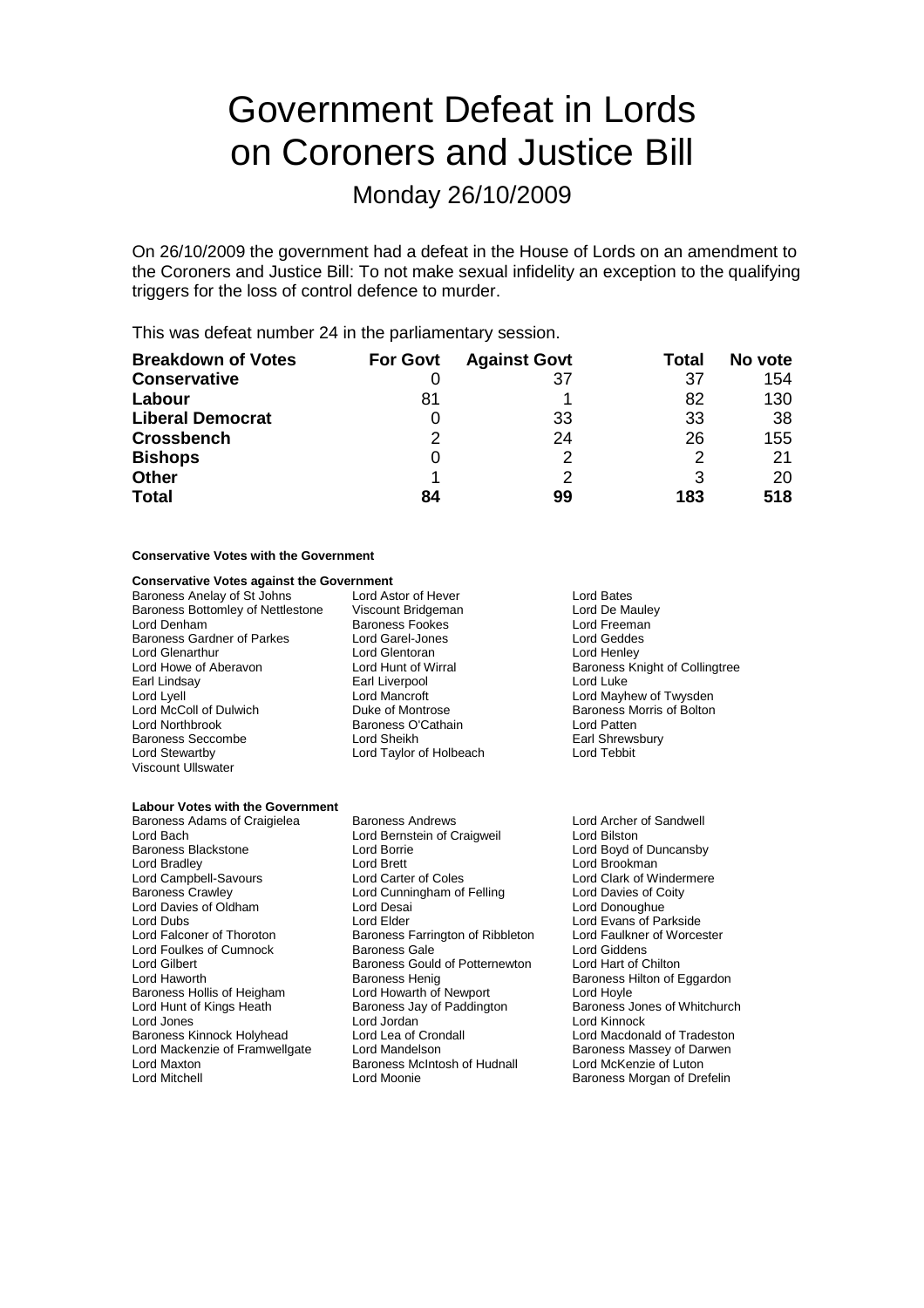# Government Defeat in Lords on Coroners and Justice Bill

Monday 26/10/2009

On 26/10/2009 the government had a defeat in the House of Lords on an amendment to the Coroners and Justice Bill: To not make sexual infidelity an exception to the qualifying triggers for the loss of control defence to murder.

This was defeat number 24 in the parliamentary session.

| <b>Breakdown of Votes</b> | <b>For Govt</b> | <b>Against Govt</b> | Total | No vote |
|---------------------------|-----------------|---------------------|-------|---------|
| <b>Conservative</b>       |                 | 37                  | 37    | 154     |
| Labour                    | 81              |                     | 82    | 130     |
| <b>Liberal Democrat</b>   |                 | 33                  | 33    | 38      |
| <b>Crossbench</b>         | 2               | 24                  | 26    | 155     |
| <b>Bishops</b>            |                 | っ                   | 2     | 21      |
| <b>Other</b>              |                 |                     |       | 20      |
| <b>Total</b>              | 84              | 99                  | 183   | 518     |

### **Conservative Votes with the Government**

### **Conservative Votes against the Government**

Baroness Anelay of St Johns Lord Astor of Hever Theory Cord Bates<br>
Baroness Bottomley of Nettlestone Viscount Bridgeman Theory Lord De Mauley Baroness Bottomley of Nettlestone Viscount Bridgeman and Lord De Maule<br>
Lord Denham Baroness Fookes Lord Freeman Baroness Gardner of Parkes Lord Garel-Jones Lord Geddes Lord Howe of Aberavon Lord Hunt of Wirral Baroness Knight of Collingtree<br>
Earl Lindsav Baroness Knight of Collingtree Lord Lyell Lord Mayhew of Twysden<br>
Lord McColl of Dulwich Lord Mayhew of Twysden<br>
Duke of Montrose Christian Baroness Morris of Bolton Lord McColl of Dulwich **Duke of Montrose** Baroness Morris of Bolton<br>
Duke of Montrose Baroness O'Cathain **Baroness D'Cathain**<br>
Lord Patten Baroness Seccombe Lord Sheikh Earl Shrews<br>
Lord Stewarthy Lord Taylor of Holbeach Lord Tebbit Viscount Ullswater

**Baroness Fookes Lord Freeman**<br>
Lord Garel-Jones Lord Geddes Lord Glentoran Earl Liverpool Lord Luke **Baroness O'Cathain** Lord Patten<br>
Lord Sheikh Lord Sheikh Lord Taylor of Holbeach

#### **Labour Votes with the Government**

Baroness Adams of Craigielea Baroness Andrews Lord Archer of Sandwell Lord Bach **Lord Bernstein of Craigweil**<br>
Lord Bilston Lord Borrie<br>
Lord Boyd on Lord Borrie Baroness Blackstone **Lord Borrie Contract Contract Contract Contract Contract Contract Contract Contract Contract Lord Brookman**<br>
Lord Brookman<br>
Lord Brookman Lord Campbell-Savours Baroness Crawley **Lord Cunningham of Felling** Lord Davies of Coity<br>
Lord Davies of Oldham Lord Desai **Lord Desai** Lord Donoughue Lord Davies of Oldham Lord Dubs Lord Elder Lord Evans of Parkside Lord Falconer of Thoroton Baroness Farrington of Ribbleton Lord Faulkner of Worcester Lord Foulkes of Cumnock **Baroness Gale** Lord Giddens<br>
Lord Gilbert **Baroness Gould of Potternewton** Lord Hart of Chilton Lord Gilbert Baroness Gould of Potternewton Lord Haworth **Baroness Henig** Baroness Hollis of Heigham Lord Howarth of Newport Lord Hoyle<br>
Lord Hunt of Kings Heath **Baroness Jay of Paddington** Baroness Jones of Whitchurch Lord Jones Lord Jordan Lord Kinnock Baroness Kinnock Holyhead Lord Lea of Crondall Lord Macdonald of Tradeston<br>
Lord Mackenzie of Framwellgate Lord Mandelson Cornell Baroness Massev of Darwen Lord Mackenzie of Framwellgate Lord Mandelson **Baroness Massey of Darwen**<br>
Lord Maxton **Baroness McIntosh of Hudnall** Lord McKenzie of Luton Lord Maxton Baroness McIntosh of Hudnall<br>
Lord Mitchell Lord Moonie

Lord Brett<br>
Lord Carter of Coles<br>
Lord Clark of Windermere Baroness Henig<br>
Lord Howarth of Newport<br>
Lord Hoyle<br>
Lord Hoyle Baroness Jay of Paddington<br>Lord Jordan Lord Moonie **Baroness Morgan of Drefelin**